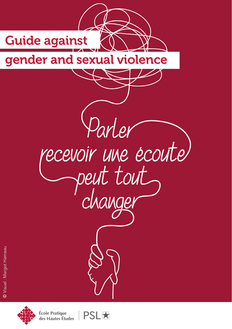



**École Pratique** des Hautes Études

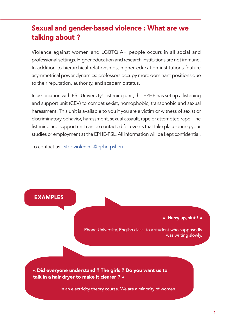# Sexual and gender-based violence : What are we talking about ?

Violence against women and LGBTQIA+ people occurs in all social and professional settings. Higher education and research institutions are not immune. In addition to hierarchical relationships, higher education institutions feature asymmetrical power dynamics: professors occupy more dominant positions due to their reputation, authority, and academic status.

In association with PSL University's listening unit, the EPHE has set up a listening and support unit (CEV) to combat sexist, homophobic, transphobic and sexual harassment. This unit is available to you if you are a victim or witness of sexist or discriminatory behavior, harassment, sexual assault, rape or attempted rape. The listening and support unit can be contacted for events that take place during your studies or employment at the EPHE-PSL. All information will be kept confidential.

To contact us : stopviolences@ephe.psl.eu

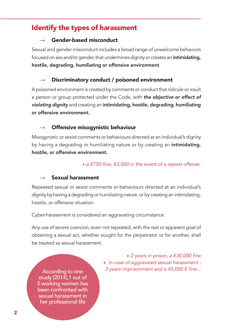# Identify the types of harassment

## Gender-based misconduct

Sexual and gender misconduct includes a broad range of unwelcome behaviors focused on sex and/or gender, that undermines dignity or creates an intimidating, hostile, degrading, humiliating or offensive environment.

## Discriminatory conduct / poisoned environment

A poisoned environment is created by comments or conduct that ridicule or insult a person or group protected under the Code, with *the objective or effect of violating dignity* and creating an intimidating, hostile, degrading, humiliating or offensive environment.

## Offensive misogynistic behaviour

Misogynistic or sexist comments or behaviours directed at an individual's dignity by having a degrading or humiliating nature or by creating an intimidating, hostile, or offensive environment.

### → *a €750 fine, €3,000 in the event of a repeat offense.*

## Sexual harassment

Repeated sexual or sexist comments or behaviours directed at an individual's dignity by having a degrading or humiliating nature, or by creating an intimidating, hostile, or offensive situation.

Cyber-harassment is considered an aggravating circumstance.

Any use of severe coercion, even not repeated, with the real or apparent goal of obtaining a sexual act, whether sought for the perpetrator or for another, shall be treated as sexual harassment.

study (2014),1 out of 5 working women has been confronted with sexual harassment in her professional life

→ *2 years in prison, a €30,000 fine* → *In case of aggravated sexual harassment : 3 years imprisonment and a 45,000 € fine...* According to one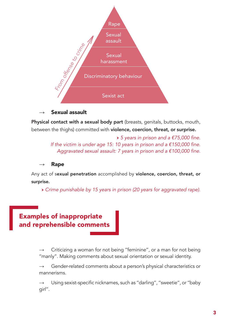

#### Sexual assault

Physical contact with a sexual body part (breasts, genitals, buttocks, mouth, between the thighs) committed with **violence, coercion, threat, or surprise.** 

> → *5 years in prison and a €75,000 fine. If the victim is under age 15: 10 years in prison and a €150,000 fine. Aggravated sexual assault: 7 years in prison and a €100,000 fine.*

Rape

Any act of sexual penetration accomplished by violence, coercion, threat, or surprise.

→ *Crime punishable by 15 years in prison (20 years for aggravated rape).*

# Examples of inappropriate and reprehensible comments

Criticizing a woman for not being "feminine", or a man for not being ''manly". Making comments about sexual orientation or sexual identity.

 $\rightarrow$  Gender-related comments about a person's physical characteristics or mannerisms.

Using sexist-specific nicknames, such as "darling", "sweetie", or "baby girl''.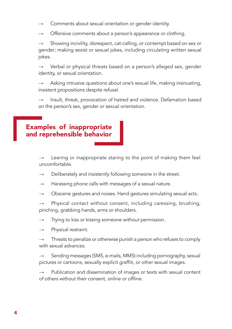- Comments about sexual orientation or gender identity.
- Offensive comments about a person's appearance or clothing.

Showing incivility, disrespect, cat-calling, or contempt based on sex or gender; making sexist or sexual jokes, including circulating written sexual jokes.

 $\rightarrow$  Verbal or physical threats based on a person's alleged sex, gender identity, or sexual orientation.

Asking intrusive questions about one's sexual life, making insinuating, insistent propositions despite refusal.

 $\rightarrow$  Insult, threat, provocation of hatred and violence. Defamation based on the person's sex, gender or sexual orientation.

## Examples of inappropriate and reprehensible behavior

Leering or inappropriate staring to the point of making them feel uncomfortable.

- Deliberately and insistently following someone in the street.
- $\rightarrow$  Harassing phone calls with messages of a sexual nature.
- $\rightarrow$  Obscene gestures and noises. Hand gestures simulating sexual acts.
- $\rightarrow$  Physical contact without consent, including caressing, brushing, pinching, grabbing hands, arms or shoulders.
- $\rightarrow$  Trying to kiss or kissing someone without permission.
- $\rightarrow$  Physical restraint.
- $\rightarrow$  Threats to penalize or otherwise punish a person who refuses to comply with sexual advances.

Sending messages (SMS, e-mails, MMS) including pornography, sexual pictures or cartoons, sexually explicit graffiti, or other sexual images.

Publication and dissemination of images or texts with sexual content of others without their consent, online or offline.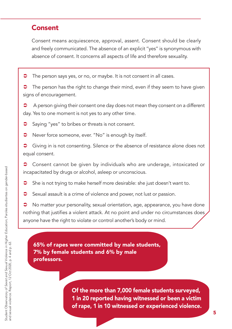# Consent

Consent means acquiescence, approval, assent. Consent should be clearly and freely communicated. The absence of an explicit ''yes'' is synonymous with absence of consent. It concerns all aspects of life and therefore sexuality.

˿ The person says yes, or no, or maybe. It is not consent in all cases.

 $\supset$  The person has the right to change their mind, even if they seem to have given signs of encouragement.

**●** A person giving their consent one day does not mean they consent on a different day. Yes to one moment is not yes to any other time.

- Saying "yes" to bribes or threats is not consent.
- ˿ Never force someone, ever. "No" is enough by itself.
- Giving in is not consenting. Silence or the absence of resistance alone does not equal consent.
- Consent cannot be given by individuals who are underage, intoxicated or incapacitated by drugs or alcohol, asleep or unconscious.
- ˿ She is not trying to make herself more desirable: she just doesn't want to.
- **◯** Sexual assault is a crime of violence and power, not lust or passion.

• No matter your personality, sexual orientation, age, appearance, you have done nothing that justifies a violent attack. At no point and under no circumstances does anyone have the right to violate or control another's body or mind.

65% of rapes were committed by male students, 7% by female students and 6% by male professors.

> Of the more than 7,000 female students surveyed, 1 in 20 reported having witnessed or been a victim of rape, 1 in 10 witnessed or experienced violence.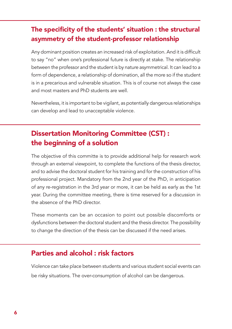# The specificity of the students' situation : the structural asymmetry of the student-professor relationship

Any dominant position creates an increased risk of exploitation. And it is difficult to say "no" when one's professional future is directly at stake. The relationship between the professor and the student is by nature asymmetrical. It can lead to a form of dependence, a relationship of domination, all the more so if the student is in a precarious and vulnerable situation. This is of course not always the case and most masters and PhD students are well.

Nevertheless, it is important to be vigilant, as potentially dangerous relationships can develop and lead to unacceptable violence.

# Dissertation Monitoring Committee (CST) : the beginning of a solution

The objective of this committe is to provide additional help for research work through an external viewpoint, to complete the functions of the thesis director, and to advise the doctoral student for his training and for the construction of his professional project. Mandatory from the 2nd year of the PhD, in anticipation of any re-registration in the 3rd year or more, it can be held as early as the 1st year. During the committee meeting, there is time reserved for a discussion in the absence of the PhD director.

These moments can be an occasion to point out possible discomforts or dysfunctions between the doctoral student and the thesis director. The possibility to change the direction of the thesis can be discussed if the need arises.

## Parties and alcohol : risk factors

Violence can take place between students and various student social events can be risky situations. The over-consumption of alcohol can be dangerous.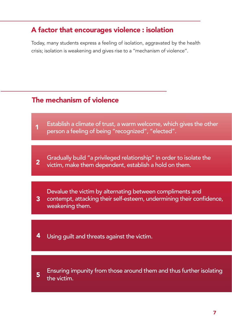# A factor that encourages violence : isolation

Today, many students express a feeling of isolation, aggravated by the health crisis; isolation is weakening and gives rise to a ''mechanism of violence''.

# The mechanism of violence

- Establish a climate of trust, a warm welcome, which gives the other **1** Establish a climate of trust, a warm welcome, which<br>1 person a feeling of being "recognized", "elected".
- Gradually build "a privileged relationship" in order to isolate the **2** victim, make them dependent, establish a hold on them.
- Devalue the victim by alternating between compliments and contempt, attacking their self-esteem, undermining their confidence, weakening them. 3
- **4** Using guilt and threats against the victim.
- 

Ensuring impunity from those around them and thus further isolating  $5$  the victim.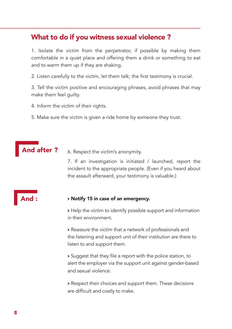## What to do if you witness sexual violence ?

1. Isolate the victim from the perpetrator, if possible by making them comfortable in a quiet place and offering them a drink or something to eat and to warm them up if they are shaking.

2. Listen carefully to the victim, let them talk; the first testimony is crucial.

3. Tell the victim positive and encouraging phrases, avoid phrases that may make them feel guilty.

4. Inform the victim of their rights.

5. Make sure the victim is given a ride home by someone they trust.

And after ? 6. Respect the victim's anonymity.

7. If an investigation is initiated / launched, report the incident to the appropriate people. (Even if you heard about the assault afterward, your testimony is valuable.)

## And :

#### → Notify 15 in case of an emergency.

→ Help the victim to identify possible support and information in their environment.

→ Reassure the victim that a network of professionals and the listening and support unit of their institution are there to listen to and support them.

→ Suggest that they file a report with the police station, to alert the employer via the support unit against gender-based and sexual violence.

→ Respect their choices and support them. These decisions are difficult and costly to make.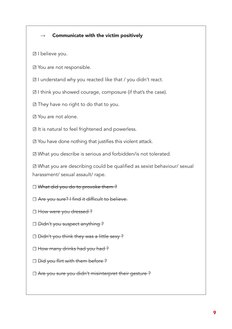#### Communicate with the victim positively

☑ I believe you.

- ☑ You are not responsible.
- ☑ I understand why you reacted like that / you didn't react.
- ☑ I think you showed courage, composure (if that's the case).
- ☑ They have no right to do that to you.
- ☑ You are not alone.

☑ It is natural to feel frightened and powerless.

☑ You have done nothing that justifies this violent attack.

☑ What you describe is serious and forbidden/is not tolerated.

☑ What you are describing could be qualified as sexist behaviour/ sexual harassment/ sexual assault/ rape.

□ What did you do to provoke them ?

- □ Are you sure? I find it difficult to believe.
- □ How were you dressed ?
- □ <del>Didn't you suspect anything?</del>
- □ <del>Didn't you think they was a little sexy?</del>
- □ How many drinks had you had ?
- □ <del>Did you flirt with them before?</del>
- □ Are you sure you didn't misinterpret their gesture ?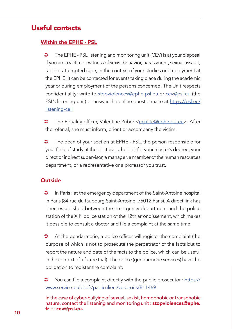# Useful contacts

## Within the EPHE - PSL

˿ The EPHE - PSL listening and monitoring unit (CEV) is at your disposal if you are a victim or witness of sexist behavior, harassment, sexual assault, rape or attempted rape, in the context of your studies or employment at the EPHE. It can be contacted for events taking place during the academic year or during employment of the persons concerned. The Unit respects confidentiality: write to stopviolences@ephe.psl.eu or cev@psl.eu (the PSL's listening unit) or answer the online questionnaire at https://psl.eu/ listening-cell

The Equality officer, Valentine Zuber <egalite@ephe.psl.eu>. After the referral, she must inform, orient or accompany the victim.

The dean of your section at EPHE - PSL, the person responsible for your field of study at the doctoral school or for your master's degree, your direct or indirect supervisor, a manager, a member of the human resources department, or a representative or a professor you trust.

## Outside

In Paris : at the emergency department of the Saint-Antoine hospital in Paris (84 rue du faubourg Saint-Antoine, 75012 Paris). A direct link has been established between the emergency department and the police station of the XII<sup>th</sup> police station of the 12th arrondissement, which makes it possible to consult a doctor and file a complaint at the same time

At the gendarmerie, a police officer will register the complaint (the purpose of which is not to prosecute the perpetrator of the facts but to report the nature and date of the facts to the police, which can be useful in the context of a future trial). The police (gendarmerie services) have the obligation to register the complaint.

You can file a complaint directly with the public prosecutor : https:// www.service-public.fr/particuliers/vosdroits/R11469

In the case of cyber-bullying of sexual, sexist, homophobic or transphobic nature, contact the listening and monitoring unit: stopviolences@ephe. fr or cev@psl.eu.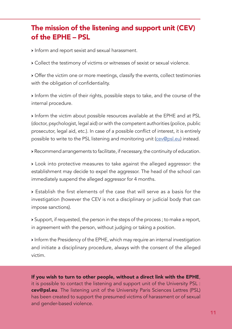# The mission of the listening and support unit (CEV) of the EPHE – PSL

→ Inform and report sexist and sexual harassment.

→ Collect the testimony of victims or witnesses of sexist or sexual violence.

→ Offer the victim one or more meetings, classify the events, collect testimonies with the obligation of confidentiality.

→ Inform the victim of their rights, possible steps to take, and the course of the internal procedure.

→ Inform the victim about possible resources available at the EPHE and at PSL (doctor, psychologist, legal aid) or with the competent authorities (police, public prosecutor, legal aid, etc.). In case of a possible conflict of interest, it is entirely possible to write to the PSL listening and monitoring unit (cev@psl.eu) instead.

→ Recommend arrangements to facilitate, if necessary, the continuity of education.

→ Look into protective measures to take against the alleged aggressor: the establishment may decide to expel the aggressor. The head of the school can immediately suspend the alleged aggressor for 4 months.

→ Establish the first elements of the case that will serve as a basis for the investigation (however the CEV is not a disciplinary or judicial body that can impose sanctions).

→ Support, if requested, the person in the steps of the process ; to make a report, in agreement with the person, without judging or taking a position.

→ Inform the Presidency of the EPHE, which may require an internal investigation and initiate a disciplinary procedure, always with the consent of the alleged victim.

If you wish to turn to other people, without a direct link with the EPHE, it is possible to contact the listening and support unit of the University PSL : cev@psl.eu. The listening unit of the University Paris Sciences Lettres (PSL) has been created to support the presumed victims of harassment or of sexual and gender-based violence.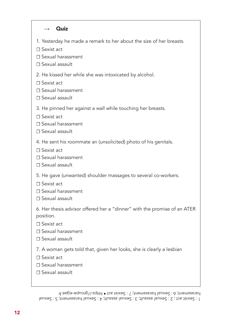#### $\rightarrow$  Quiz

1. Yesterday he made a remark to her about the size of her breasts.

☐ Sexist act

☐ Sexual harassment

☐ Sexual assault

2. He kissed her while she was intoxicated by alcohol.

☐ Sexist act

☐ Sexual harassment

☐ Sexual assault

3. He pinned her against a wall while touching her breasts.

☐ Sexist act

☐ Sexual harassment

☐ Sexual assault

4. He sent his roommate an (unsolicited) photo of his genitals.

☐ Sexist act

☐ Sexual harassment

☐ Sexual assault

5. He gave (unwanted) shoulder massages to several co-workers.

☐ Sexist act

☐ Sexual harassment

☐ Sexual assault

6. Her thesis advisor offered her a "dinner" with the promise of an ATER position.

☐ Sexist act

☐ Sexual harassment

☐ Sexual assault

7. A woman gets told that, given her looks, she is clearly a lesbian

☐ Sexist act

☐ Sexual harassment

☐ Sexual assault

 $\Gamma$ : Sexual assault; 3 : Sexual example:  $\beta$  : Sexual interval and  $\beta$  : Sexual act  $\beta$  : Sexual and  $\beta$ interest; 6 : Sexual harassment; / : Sexist act • https://groupe-egae.fr